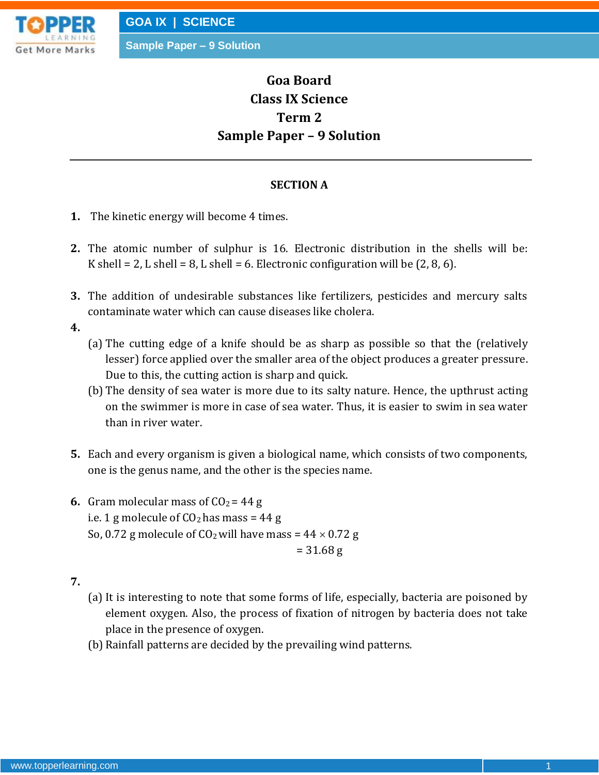

# **Goa Board Class IX Science Term 2 Sample Paper – 9 Solution**

#### **SECTION A**

- **1.** The kinetic energy will become 4 times.
- **2.** The atomic number of sulphur is 16. Electronic distribution in the shells will be: K shell = 2, L shell = 8, L shell = 6. Electronic configuration will be  $(2, 8, 6)$ .
- **3.** The addition of undesirable substances like fertilizers, pesticides and mercury salts contaminate water which can cause diseases like cholera.

- (a) The cutting edge of a knife should be as sharp as possible so that the (relatively lesser) force applied over the smaller area of the object produces a greater pressure. Due to this, the cutting action is sharp and quick.
- (b) The density of sea water is more due to its salty nature. Hence, the upthrust acting on the swimmer is more in case of sea water. Thus, it is easier to swim in sea water than in river water.
- **5.** Each and every organism is given a biological name, which consists of two components, one is the genus name, and the other is the species name.
- **6.** Gram molecular mass of  $CO<sub>2</sub> = 44 g$ i.e. 1 g molecule of  $CO<sub>2</sub>$  has mass = 44 g So, 0.72 g molecule of  $CO<sub>2</sub>$  will have mass = 44  $\times$  0.72 g  $= 31.68$  g
- **7.**
- (a) It is interesting to note that some forms of life, especially, bacteria are poisoned by element oxygen. Also, the process of fixation of nitrogen by bacteria does not take place in the presence of oxygen.
- (b) Rainfall patterns are decided by the prevailing wind patterns.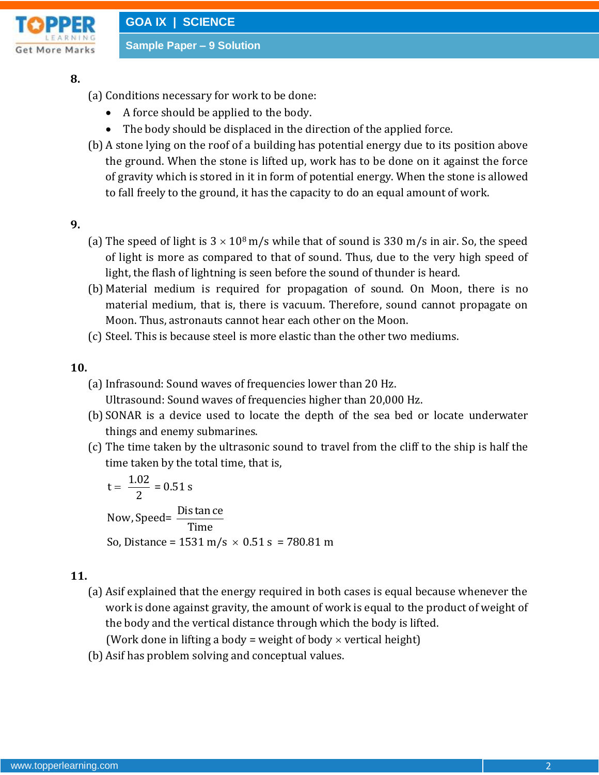

**Sample Paper – 9 Solution**

## **8.**

- (a) Conditions necessary for work to be done:
	- A force should be applied to the body.
	- The body should be displaced in the direction of the applied force.
- (b) A stone lying on the roof of a building has potential energy due to its position above the ground. When the stone is lifted up, work has to be done on it against the force of gravity which is stored in it in form of potential energy. When the stone is allowed to fall freely to the ground, it has the capacity to do an equal amount of work.

# **9.**

- (a) The speed of light is  $3 \times 10^8$  m/s while that of sound is 330 m/s in air. So, the speed of light is more as compared to that of sound. Thus, due to the very high speed of light, the flash of lightning is seen before the sound of thunder is heard.
- (b) Material medium is required for propagation of sound. On Moon, there is no material medium, that is, there is vacuum. Therefore, sound cannot propagate on Moon. Thus, astronauts cannot hear each other on the Moon.
- (c) Steel. This is because steel is more elastic than the other two mediums.

# **10.**

(a) Infrasound: Sound waves of frequencies lower than 20 Hz.

Ultrasound: Sound waves of frequencies higher than 20,000 Hz.

- (b) SONAR is a device used to locate the depth of the sea bed or locate underwater things and enemy submarines.
- (c) The time taken by the ultrasonic sound to travel from the cliff to the ship is half the time taken by the total time, that is,

time taken by the<br>t =  $\frac{1.02}{2}$  = 0.51 s  $t = \frac{1}{2}$  = 0.51 s<br>Now, Speed=  $\frac{\text{Dis }\tan \text{ce}}{\text{Time}}$ So, Distance =  $1531 \text{ m/s} \times 0.51 \text{ s} = 780.81 \text{ m}$  $=$ 

# **11.**

(a) Asif explained that the energy required in both cases is equal because whenever the work is done against gravity, the amount of work is equal to the product of weight of the body and the vertical distance through which the body is lifted.

(Work done in lifting a body = weight of body  $\times$  vertical height)

(b) Asif has problem solving and conceptual values.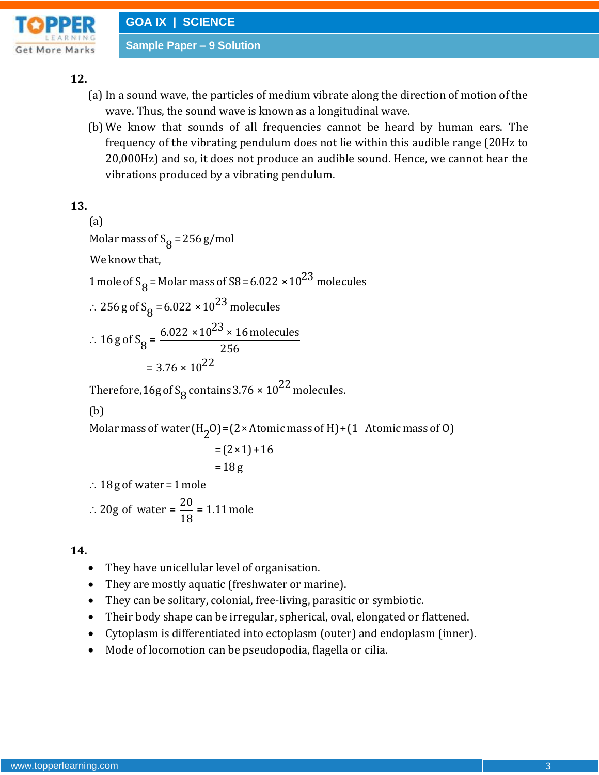

**Sample Paper – 9 Solution**

# **12.**

- (a) In a sound wave, the particles of medium vibrate along the direction of motion of the wave. Thus, the sound wave is known as a longitudinal wave.
- (b) We know that sounds of all frequencies cannot be heard by human ears. The frequency of the vibrating pendulum does not lie within this audible range (20Hz to 20,000Hz) and so, it does not produce an audible sound. Hence, we cannot hear the vibrations produced by a vibrating pendulum.

**13.**

 $\therefore$  256 g of S<sub>8</sub> = 6.022 × 10<sup>23</sup> molecules  $\ddot{\cdot}$ (a) Molar mass of  $S_R = 256 g/mol$ We know that. Wolar mass of  $s_g = 236 g/mol$ <br>We know that,<br>1 mole of S<sub>8</sub> = Molar mass of S8 = 6.022 × 10<sup>23</sup> molecules mole of S<sub>8</sub> = Molar mass of S8 = 6.022<br>256 g of S<sub>8</sub> = 6.022 × 10<sup>23</sup> molecules 256 g of S<sub>8</sub> = 6.022 × 10<sup>23</sup> molecules<br>16 g of S<sub>8</sub> =  $\frac{6.022 \times 10^{23} \times 16 \text{ molecules}}{256}$  $=\frac{6.022 \times 10^2}{2}$ <br>= 3.76 × 10<sup>22</sup> =  $3.76 \times 10^{22}$ <br>Therefore, 16g of S<sub>8</sub> contains 3.76 ×  $10^{22}$  molecules.

# (b)

Molar mass of water  $(H_2O) = (2 \times Atomic$  mass of H $) + (1$  Atomic mass of O

$$
=(2 \times 1) + 16
$$
  
= 18 g

 $\therefore$  18 g of water = 1 mole

 $\ddot{\cdot}$  $= 18 g$ <br>  $18 g$  of water = 1 mole<br>  $20 g$  of water =  $\frac{20}{18}$  = 1.11 mole

- They have unicellular level of organisation.
- They are mostly aquatic (freshwater or marine).
- They can be solitary, colonial, free-living, parasitic or symbiotic.
- Their body shape can be irregular, spherical, oval, elongated or flattened.
- Cytoplasm is differentiated into ectoplasm (outer) and endoplasm (inner).
- Mode of locomotion can be pseudopodia, flagella or cilia.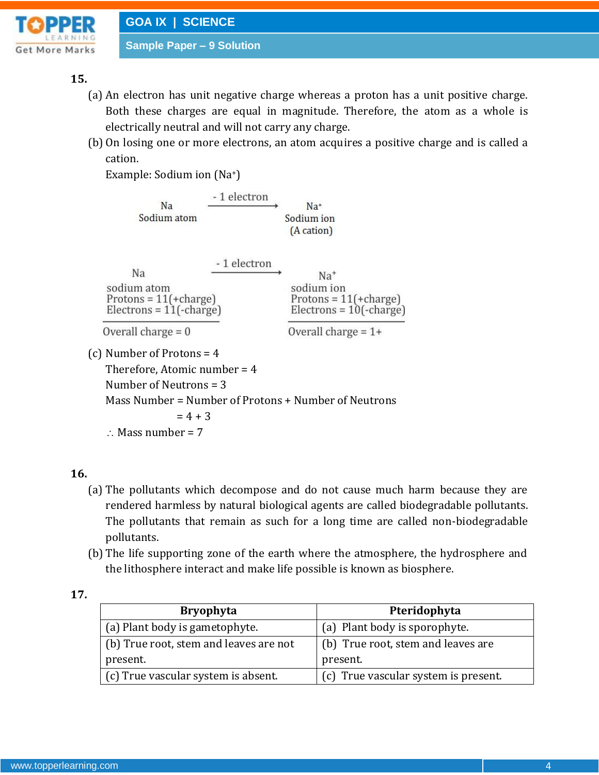

# **15.**

- (a) An electron has unit negative charge whereas a proton has a unit positive charge. Both these charges are equal in magnitude. Therefore, the atom as a whole is electrically neutral and will not carry any charge.
- (b) On losing one or more electrons, an atom acquires a positive charge and is called a cation.

Example: Sodium ion (Na+)

| $Na+$<br>Sodium ion<br>(A cation)                                           |
|-----------------------------------------------------------------------------|
| $Na+$<br>sodium ion<br>Protons = $11(+charge)$<br>$Electrons = 10(-charge)$ |
| Overall charge $= 1+$                                                       |
| Mass Number = Number of Protons + Number of Neutrons                        |
|                                                                             |

 $\therefore$  Mass number = 7

# **16.**

- (a) The pollutants which decompose and do not cause much harm because they are rendered harmless by natural biological agents are called biodegradable pollutants. The pollutants that remain as such for a long time are called non-biodegradable pollutants.
- (b) The life supporting zone of the earth where the atmosphere, the hydrosphere and the lithosphere interact and make life possible is known as biosphere.

| <b>Bryophyta</b>                       | Pteridophyta                         |
|----------------------------------------|--------------------------------------|
| (a) Plant body is gametophyte.         | (a) Plant body is sporophyte.        |
| (b) True root, stem and leaves are not | (b) True root, stem and leaves are   |
| present.                               | present.                             |
| (c) True vascular system is absent.    | (c) True vascular system is present. |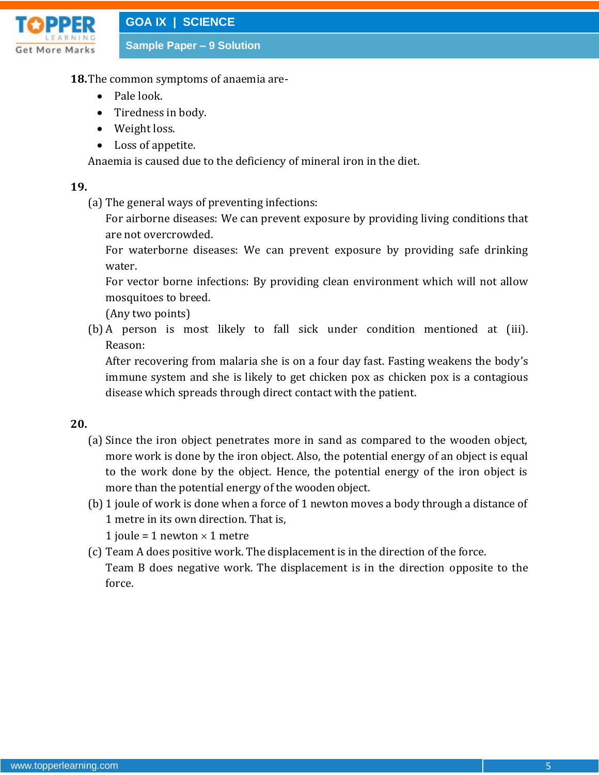

**Sample Paper – 9 Solution**

- **18.**The common symptoms of anaemia are-
	- Pale look.
	- Tiredness in body.
	- Weight loss.
	- Loss of appetite.

Anaemia is caused due to the deficiency of mineral iron in the diet.

#### **19.**

(a) The general ways of preventing infections:

For airborne diseases: We can prevent exposure by providing living conditions that are not overcrowded.

For waterborne diseases: We can prevent exposure by providing safe drinking water.

For vector borne infections: By providing clean environment which will not allow mosquitoes to breed.

(Any two points)

(b) A person is most likely to fall sick under condition mentioned at (iii). Reason:

After recovering from malaria she is on a four day fast. Fasting weakens the body's immune system and she is likely to get chicken pox as chicken pox is a contagious disease which spreads through direct contact with the patient.

- (a) Since the iron object penetrates more in sand as compared to the wooden object, more work is done by the iron object. Also, the potential energy of an object is equal to the work done by the object. Hence, the potential energy of the iron object is more than the potential energy of the wooden object.
- (b) 1 joule of work is done when a force of 1 newton moves a body through a distance of 1 metre in its own direction. That is,
	- 1 joule = 1 newton  $\times$  1 metre
- (c) Team A does positive work. The displacement is in the direction of the force. Team B does negative work. The displacement is in the direction opposite to the force.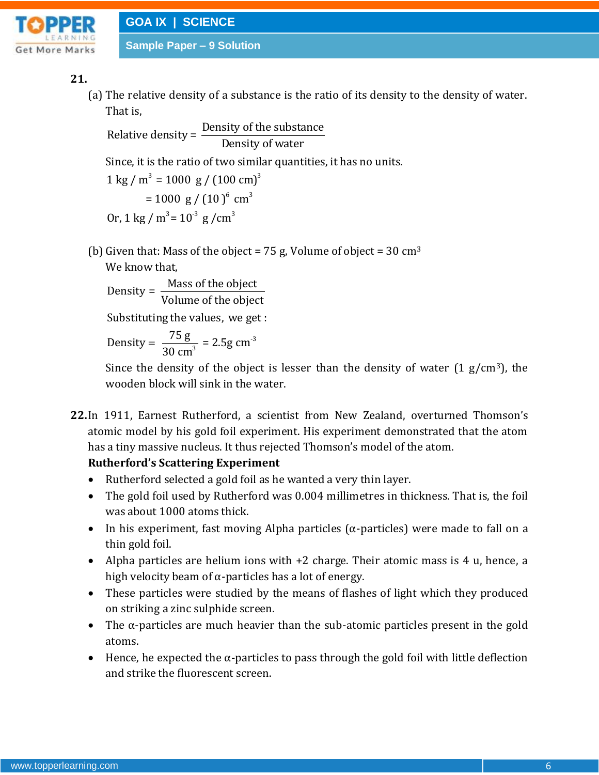

# **21.**

(a) The relative density of a substance is the ratio of its density to the density of water. That is,

Relative density =  $\frac{\text{Density of the substance}}{\text{E}}$ Density of water Since, it is the ratio of two similar quantities, it has no units.  $1 \text{ kg } / \text{ m}^3 = 1000 \text{ g } / (100 \text{ cm})^3$  $= 1000 \text{ g} / (10)^6 \text{ cm}^3$  $3 \times 10^{3}$  s / (10)

(b) Given that: Mass of the object = 75 g, Volume of object = 30 cm<sup>3</sup> We know that,

Density =  $\frac{\text{Mass of the object}}{\text{Kol}}$ Volume of the object

Substituting the values, we get :

-3 Density =  $\frac{75 \text{ g}}{30 \text{ cm}^3}$  = 2.5g cm  $=$ 

Since the density of the object is lesser than the density of water  $(1 g/cm<sup>3</sup>)$ , the wooden block will sink in the water.

**22.**In 1911, Earnest Rutherford, a scientist from New Zealand, overturned Thomson's atomic model by his gold foil experiment. His experiment demonstrated that the atom has a tiny massive nucleus. It thus rejected Thomson's model of the atom.

# **Rutherford's Scattering Experiment**

- Rutherford selected a gold foil as he wanted a very thin layer.
- The gold foil used by Rutherford was 0.004 millimetres in thickness. That is, the foil was about 1000 atoms thick.
- In his experiment, fast moving Alpha particles ( $\alpha$ -particles) were made to fall on a thin gold foil.
- Alpha particles are helium ions with +2 charge. Their atomic mass is 4 u, hence, a high velocity beam of  $\alpha$ -particles has a lot of energy.
- These particles were studied by the means of flashes of light which they produced on striking a zinc sulphide screen.
- The α-particles are much heavier than the sub-atomic particles present in the gold atoms.
- $\bullet$  Hence, he expected the  $\alpha$ -particles to pass through the gold foil with little deflection and strike the fluorescent screen.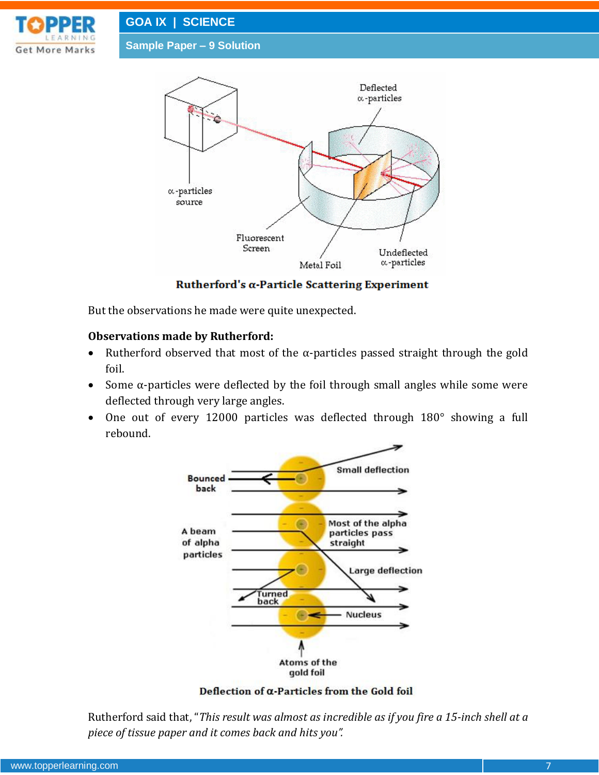

**Sample Paper – 9 Solution**



Rutherford's  $\alpha$ -Particle Scattering Experiment

But the observations he made were quite unexpected.

#### **Observations made by Rutherford:**

- Rutherford observed that most of the  $\alpha$ -particles passed straight through the gold foil.
- Some  $\alpha$ -particles were deflected by the foil through small angles while some were deflected through very large angles.
- One out of every 12000 particles was deflected through 180° showing a full rebound.



Deflection of  $\alpha$ -Particles from the Gold foil

Rutherford said that, "*This result was almost as incredible as if you fire a 15-inch shell at a piece of tissue paper and it comes back and hits you".*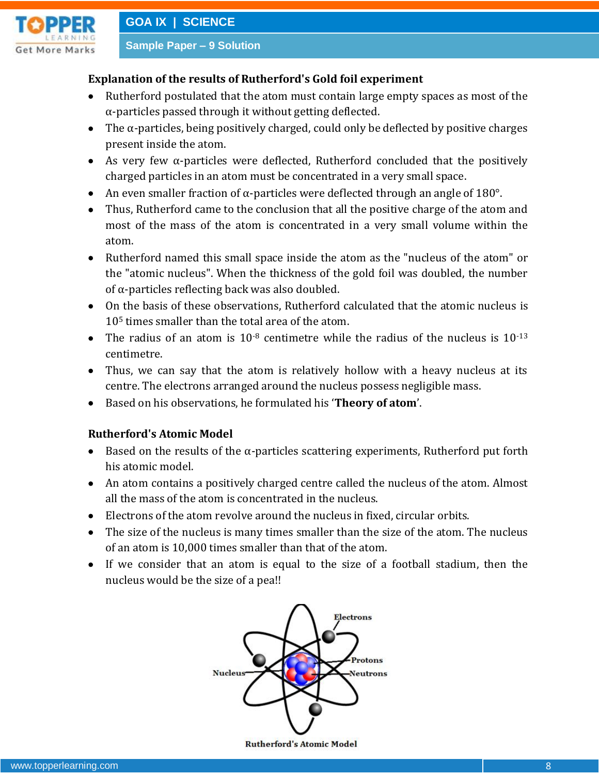

# **Explanation of the results of Rutherford's Gold foil experiment**

- Rutherford postulated that the atom must contain large empty spaces as most of the α-particles passed through it without getting deflected.
- $\bullet$  The  $\alpha$ -particles, being positively charged, could only be deflected by positive charges present inside the atom.
- As very few α-particles were deflected, Rutherford concluded that the positively charged particles in an atom must be concentrated in a very small space.
- An even smaller fraction of  $\alpha$ -particles were deflected through an angle of 180°.
- Thus, Rutherford came to the conclusion that all the positive charge of the atom and most of the mass of the atom is concentrated in a very small volume within the atom.
- Rutherford named this small space inside the atom as the "nucleus of the atom" or the "atomic nucleus". When the thickness of the gold foil was doubled, the number of α-particles reflecting back was also doubled.
- On the basis of these observations, Rutherford calculated that the atomic nucleus is 10<sup>5</sup> times smaller than the total area of the atom.
- The radius of an atom is  $10^{-8}$  centimetre while the radius of the nucleus is  $10^{-13}$ centimetre.
- Thus, we can say that the atom is relatively hollow with a heavy nucleus at its centre. The electrons arranged around the nucleus possess negligible mass.
- Based on his observations, he formulated his '**Theory of atom**'.

# **Rutherford's Atomic Model**

- Based on the results of the  $\alpha$ -particles scattering experiments, Rutherford put forth his atomic model.
- An atom contains a positively charged centre called the nucleus of the atom. Almost all the mass of the atom is concentrated in the nucleus.
- Electrons of the atom revolve around the nucleus in fixed, circular orbits.
- The size of the nucleus is many times smaller than the size of the atom. The nucleus of an atom is 10,000 times smaller than that of the atom.
- If we consider that an atom is equal to the size of a football stadium, then the nucleus would be the size of a pea!!



**Rutherford's Atomic Model**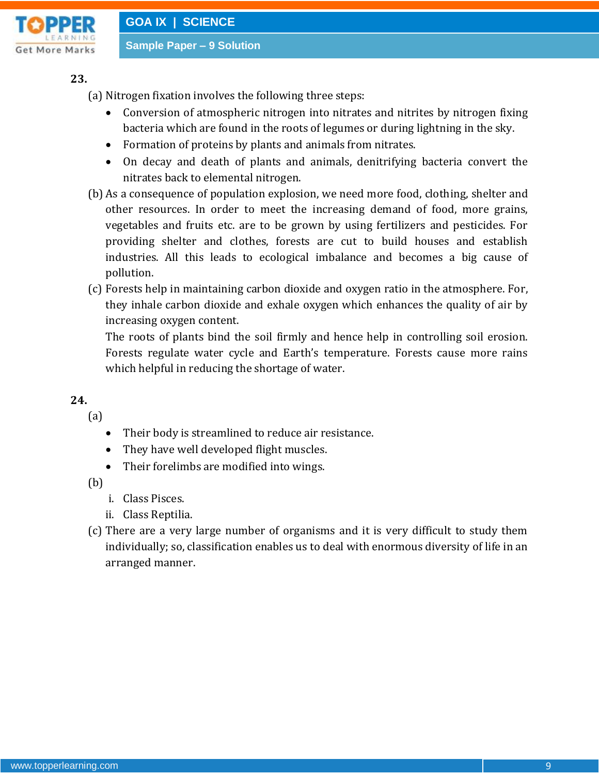

**23.**

(a) Nitrogen fixation involves the following three steps:

- Conversion of atmospheric nitrogen into nitrates and nitrites by nitrogen fixing bacteria which are found in the roots of legumes or during lightning in the sky.
- Formation of proteins by plants and animals from nitrates.
- On decay and death of plants and animals, denitrifying bacteria convert the nitrates back to elemental nitrogen.
- (b) As a consequence of population explosion, we need more food, clothing, shelter and other resources. In order to meet the increasing demand of food, more grains, vegetables and fruits etc. are to be grown by using fertilizers and pesticides. For providing shelter and clothes, forests are cut to build houses and establish industries. All this leads to ecological imbalance and becomes a big cause of pollution.
- (c) Forests help in maintaining carbon dioxide and oxygen ratio in the atmosphere. For, they inhale carbon dioxide and exhale oxygen which enhances the quality of air by increasing oxygen content.

The roots of plants bind the soil firmly and hence help in controlling soil erosion. Forests regulate water cycle and Earth's temperature. Forests cause more rains which helpful in reducing the shortage of water.

**24.**

(a)

- Their body is streamlined to reduce air resistance.
- They have well developed flight muscles.
- Their forelimbs are modified into wings.

(b)

- i. Class Pisces.
- ii. Class Reptilia.
- (c) There are a very large number of organisms and it is very difficult to study them individually; so, classification enables us to deal with enormous diversity of life in an arranged manner.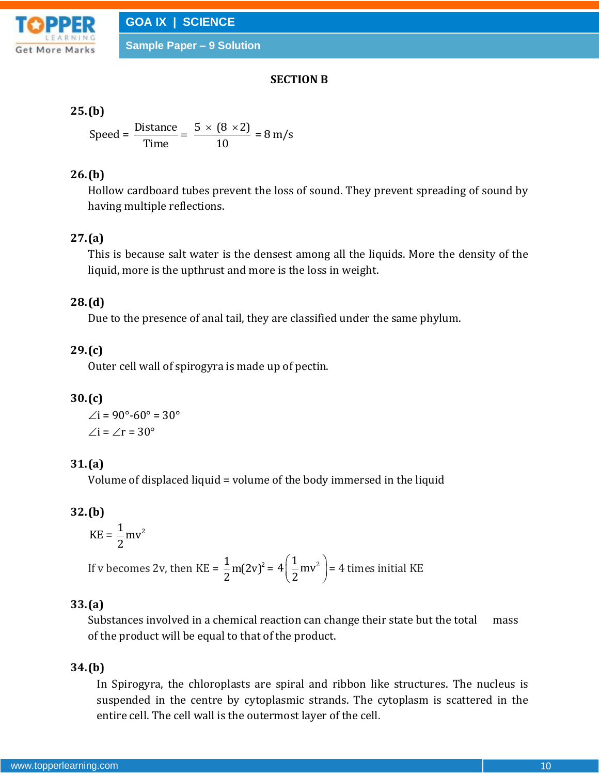

**Sample Paper – 9 Solution**

#### **SECTION B**

# **25.(b)**

**(b)**  
Speed = 
$$
\frac{\text{Distance}}{\text{Time}}
$$
 =  $\frac{5 \times (8 \times 2)}{10} = 8 \text{ m/s}$ 

# **26.(b)**

Hollow cardboard tubes prevent the loss of sound. They prevent spreading of sound by having multiple reflections.

# **27.(a)**

This is because salt water is the densest among all the liquids. More the density of the liquid, more is the upthrust and more is the loss in weight.

# **28.(d)**

Due to the presence of anal tail, they are classified under the same phylum.

# **29.(c)**

Outer cell wall of spirogyra is made up of pectin.

# **30.(c)**

 $\angle i = 90^{\circ} - 60^{\circ} = 30^{\circ}$  $\angle i = \angle r = 30^\circ$ 

# **31.(a)**

Volume of displaced liquid = volume of the body immersed in the liquid

# **32.(b)**

 $KE = \frac{1}{2}mv^2$ 2

If v becomes 2v, then KE =  $\frac{1}{2}$  m(2v)<sup>2</sup> 2  $= 4 \frac{1}{2} m v^2$  $\left(\frac{1}{2}mv^2\right)$  = 4 times initial KE

# **33.(a)**

Substances involved in a chemical reaction can change their state but the total mass of the product will be equal to that of the product.

# **34.(b)**

In Spirogyra, the chloroplasts are spiral and ribbon like structures. The nucleus is suspended in the centre by cytoplasmic strands. The cytoplasm is scattered in the entire cell. The cell wall is the outermost layer of the cell.